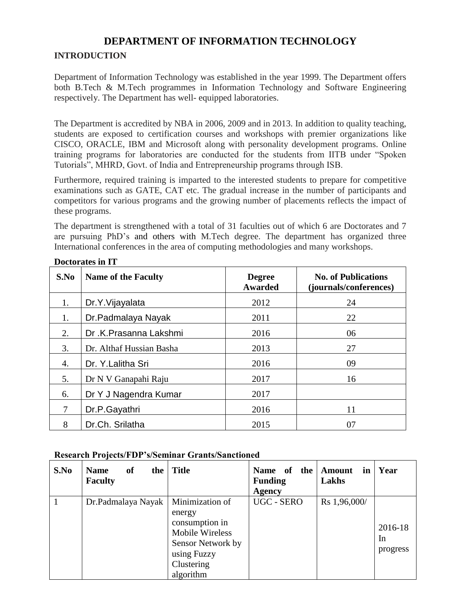# **DEPARTMENT OF INFORMATION TECHNOLOGY**

## **INTRODUCTION**

Department of Information Technology was established in the year 1999. The Department offers both B.Tech & M.Tech programmes in Information Technology and Software Engineering respectively. The Department has well- equipped laboratories.

The Department is accredited by NBA in 2006, 2009 and in 2013. In addition to quality teaching, students are exposed to certification courses and workshops with premier organizations like CISCO, ORACLE, IBM and Microsoft along with personality development programs. Online training programs for laboratories are conducted for the students from IITB under "Spoken Tutorials", MHRD, Govt. of India and Entrepreneurship programs through ISB.

Furthermore, required training is imparted to the interested students to prepare for competitive examinations such as GATE, CAT etc. The gradual increase in the number of participants and competitors for various programs and the growing number of placements reflects the impact of these programs.

The department is strengthened with a total of 31 faculties out of which 6 are Doctorates and 7 are pursuing PhD's and others with M.Tech degree. The department has organized three International conferences in the area of computing methodologies and many workshops.

| S.No   | <b>Name of the Faculty</b> | <b>Degree</b><br>Awarded | <b>No. of Publications</b><br>(journals/conferences) |
|--------|----------------------------|--------------------------|------------------------------------------------------|
| 1.     | Dr.Y.Vijayalata            | 2012                     | 24                                                   |
| 1.     | Dr.Padmalaya Nayak         | 2011                     | 22                                                   |
| 2.     | Dr.K.Prasanna Lakshmi      | 2016                     | 06                                                   |
| 3.     | Dr. Althaf Hussian Basha   | 2013                     | 27                                                   |
| 4.     | Dr. Y.Lalitha Sri          | 2016                     | 09                                                   |
| 5.     | Dr N V Ganapahi Raju       | 2017                     | 16                                                   |
| 6.     | Dr Y J Nagendra Kumar      | 2017                     |                                                      |
| $\tau$ | Dr.P.Gayathri              | 2016                     | 11                                                   |
| 8      | Dr.Ch. Srilatha            | 2015                     | 07                                                   |

## **Doctorates in IT**

## **Research Projects/FDP's/Seminar Grants/Sanctioned**

| S.No | <sub>of</sub><br><b>Name</b><br>the<br><b>Faculty</b> | <b>Title</b>                                                                                                                  | Name of the<br><b>Funding</b><br>Agency | <b>Amount</b><br>in<br>Lakhs | Year                      |
|------|-------------------------------------------------------|-------------------------------------------------------------------------------------------------------------------------------|-----------------------------------------|------------------------------|---------------------------|
|      | Dr.Padmalaya Nayak                                    | Minimization of<br>energy<br>consumption in<br>Mobile Wireless<br>Sensor Network by<br>using Fuzzy<br>Clustering<br>algorithm | UGC - SERO                              | Rs 1,96,000/                 | 2016-18<br>In<br>progress |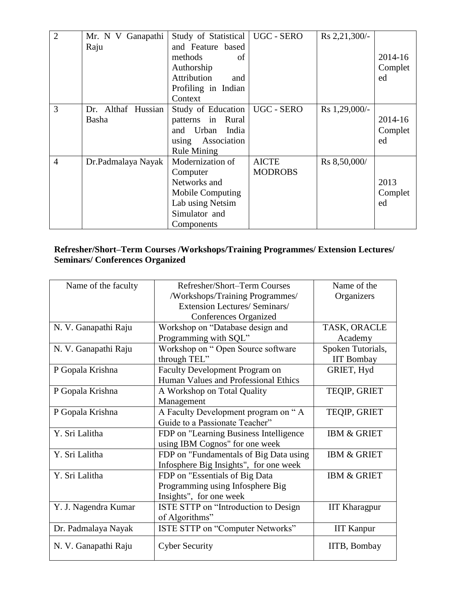| $\overline{2}$ | Mr. N V Ganapathi  | Study of Statistical   UGC - SERO |                | Rs 2,21,300/- |         |
|----------------|--------------------|-----------------------------------|----------------|---------------|---------|
|                | Raju               | and Feature based                 |                |               |         |
|                |                    | methods<br>of                     |                |               | 2014-16 |
|                |                    | Authorship                        |                |               | Complet |
|                |                    | Attribution<br>and                |                |               | ed      |
|                |                    | Profiling in Indian               |                |               |         |
|                |                    | Context                           |                |               |         |
| 3              | Dr. Althaf Hussian | Study of Education                | UGC - SERO     | Rs 1,29,000/- |         |
|                | Basha              | patterns in Rural                 |                |               | 2014-16 |
|                |                    | and Urban India                   |                |               | Complet |
|                |                    | using Association                 |                |               | ed      |
|                |                    | <b>Rule Mining</b>                |                |               |         |
| $\overline{4}$ | Dr.Padmalaya Nayak | Modernization of                  | <b>AICTE</b>   | Rs 8,50,000/  |         |
|                |                    | Computer                          | <b>MODROBS</b> |               |         |
|                |                    | Networks and                      |                |               | 2013    |
|                |                    | <b>Mobile Computing</b>           |                |               | Complet |
|                |                    | Lab using Netsim                  |                |               | ed      |
|                |                    | Simulator and                     |                |               |         |
|                |                    | Components                        |                |               |         |

## **Refresher/Short–Term Courses /Workshops/Training Programmes/ Extension Lectures/ Seminars/ Conferences Organized**

| Name of the faculty  | Refresher/Short-Term Courses            | Name of the            |
|----------------------|-----------------------------------------|------------------------|
|                      | /Workshops/Training Programmes/         | Organizers             |
|                      | <b>Extension Lectures/ Seminars/</b>    |                        |
|                      | Conferences Organized                   |                        |
| N. V. Ganapathi Raju | Workshop on "Database design and        | TASK, ORACLE           |
|                      | Programming with SQL"                   | Academy                |
| N. V. Ganapathi Raju | Workshop on "Open Source software       | Spoken Tutorials,      |
|                      | through TEL"                            | <b>IIT Bombay</b>      |
| P Gopala Krishna     | <b>Faculty Development Program on</b>   | GRIET, Hyd             |
|                      | Human Values and Professional Ethics    |                        |
| P Gopala Krishna     | A Workshop on Total Quality             | TEQIP, GRIET           |
|                      | Management                              |                        |
| P Gopala Krishna     | A Faculty Development program on "A     | TEQIP, GRIET           |
|                      | Guide to a Passionate Teacher"          |                        |
| Y. Sri Lalitha       | FDP on "Learning Business Intelligence" | <b>IBM &amp; GRIET</b> |
|                      | using IBM Cognos" for one week          |                        |
| Y. Sri Lalitha       | FDP on "Fundamentals of Big Data using  | <b>IBM &amp; GRIET</b> |
|                      | Infosphere Big Insights", for one week  |                        |
| Y. Sri Lalitha       | FDP on "Essentials of Big Data          | <b>IBM &amp; GRIET</b> |
|                      | Programming using Infosphere Big        |                        |
|                      | Insights", for one week                 |                        |
| Y. J. Nagendra Kumar | ISTE STTP on "Introduction to Design    | <b>IIT Kharagpur</b>   |
|                      | of Algorithms"                          |                        |
| Dr. Padmalaya Nayak  | ISTE STTP on "Computer Networks"        | <b>IIT Kanpur</b>      |
| N. V. Ganapathi Raju | <b>Cyber Security</b>                   | IITB, Bombay           |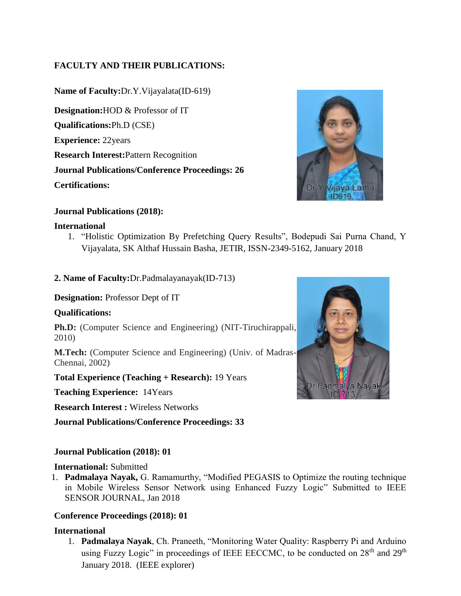# **FACULTY AND THEIR PUBLICATIONS:**

**Name of Faculty:**Dr.Y.Vijayalata(ID-619) **Designation:**HOD & Professor of IT **Qualifications:**Ph.D (CSE) **Experience:** 22years **Research Interest:**Pattern Recognition **Journal Publications/Conference Proceedings: 26 Certifications:**



## **Journal Publications (2018):**

## **International**

1. "Holistic Optimization By Prefetching Query Results", Bodepudi Sai Purna Chand, Y Vijayalata, SK Althaf Hussain Basha, JETIR, ISSN-2349-5162, January 2018

## **2. Name of Faculty:**Dr.Padmalayanayak(ID-713)

## **Designation:** Professor Dept of IT

## **Qualifications:**

**Ph.D:** (Computer Science and Engineering) (NIT-Tiruchirappali, 2010)

**M.Tech:** (Computer Science and Engineering) (Univ. of Madras-Chennai, 2002)

**Total Experience (Teaching + Research):** 19 Years

**Teaching Experience:** 14Years

**Research Interest :** Wireless Networks

**Journal Publications/Conference Proceedings: 33**

## **Journal Publication (2018): 01**

## **International:** Submitted

1. **Padmalaya Nayak,** G. Ramamurthy, "Modified PEGASIS to Optimize the routing technique in Mobile Wireless Sensor Network using Enhanced Fuzzy Logic" Submitted to IEEE SENSOR JOURNAL, Jan 2018

## **Conference Proceedings (2018): 01**

## **International**

1. **Padmalaya Nayak**, Ch. Praneeth, "Monitoring Water Quality: Raspberry Pi and Arduino using Fuzzy Logic" in proceedings of IEEE EECCMC, to be conducted on  $28<sup>th</sup>$  and  $29<sup>th</sup>$ January 2018. (IEEE explorer)

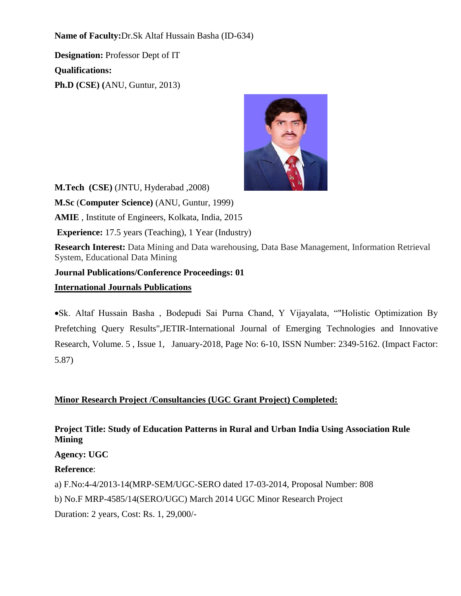**Name of Faculty:**Dr.Sk Altaf Hussain Basha (ID-634)

**Designation:** Professor Dept of IT **Qualifications: Ph.D (CSE) (**ANU, Guntur, 2013)



**M.Tech (CSE)** (JNTU, Hyderabad ,2008) **M.Sc** (**Computer Science)** (ANU, Guntur, 1999) **AMIE** , Institute of Engineers, Kolkata, India, 2015 **Experience:** 17.5 years (Teaching), 1 Year (Industry) **Research Interest:** Data Mining and Data warehousing, Data Base Management, Information Retrieval System, Educational Data Mining **Journal Publications/Conference Proceedings: 01 International Journals Publications**

•Sk. Altaf Hussain Basha , Bodepudi Sai Purna Chand, Y Vijayalata, ""Holistic Optimization By Prefetching Query Results",JETIR-International Journal of Emerging Technologies and Innovative Research, Volume. 5 , Issue 1, January-2018, Page No: 6-10, ISSN Number: 2349-5162. (Impact Factor: 5.87)

# **Minor Research Project /Consultancies (UGC Grant Project) Completed:**

# **Project Title: Study of Education Patterns in Rural and Urban India Using Association Rule Mining**

**Agency: UGC**

**Reference**:

a) F.No:4-4/2013-14(MRP-SEM/UGC-SERO dated 17-03-2014, Proposal Number: 808

b) No.F MRP-4585/14(SERO/UGC) March 2014 UGC Minor Research Project

Duration: 2 years, Cost: Rs. 1, 29,000/-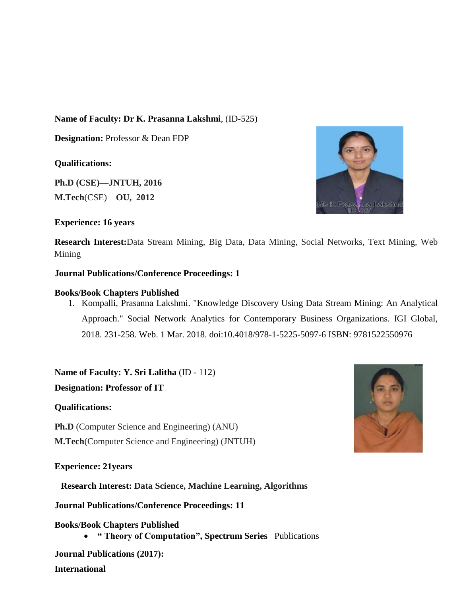## **Name of Faculty: Dr K. Prasanna Lakshmi**, (ID-525)

**Designation:** Professor & Dean FDP

## **Qualifications:**

**Ph.D (CSE)—JNTUH, 2016 M.Tech**(CSE) – **OU, 2012**

## **Experience: 16 years**

**Research Interest:**Data Stream Mining, Big Data, Data Mining, Social Networks, Text Mining, Web Mining

## **Journal Publications/Conference Proceedings: 1**

## **Books/Book Chapters Published**

1. Kompalli, Prasanna Lakshmi. "Knowledge Discovery Using Data Stream Mining: An Analytical Approach." Social Network Analytics for Contemporary Business Organizations. IGI Global, 2018. 231-258. Web. 1 Mar. 2018. doi:10.4018/978-1-5225-5097-6 ISBN: 9781522550976

**Name of Faculty: Y. Sri Lalitha** (ID - 112)

**Designation: Professor of IT**

## **Qualifications:**

**Ph.D** (Computer Science and Engineering) (ANU) **M.Tech**(Computer Science and Engineering) (JNTUH)

## **Experience: 21years**

**Research Interest: Data Science, Machine Learning, Algorithms**

**Journal Publications/Conference Proceedings: 11**

## **Books/Book Chapters Published**

• **" Theory of Computation", Spectrum Series** Publications

**Journal Publications (2017): International**



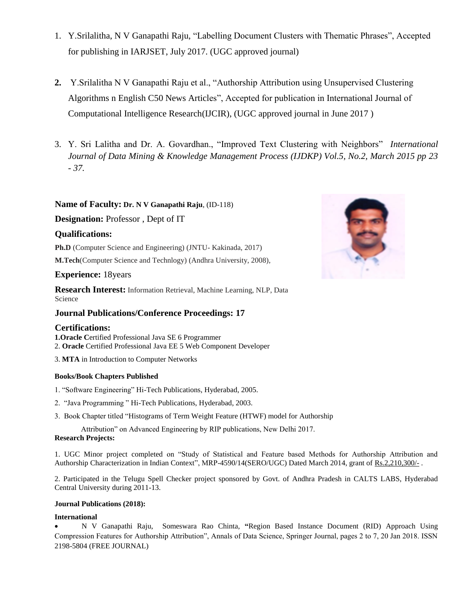- 1. Y.Srilalitha, N V Ganapathi Raju, "Labelling Document Clusters with Thematic Phrases", Accepted for publishing in IARJSET, July 2017. (UGC approved journal)
- **2.** Y.Srilalitha N V Ganapathi Raju et al., "Authorship Attribution using Unsupervised Clustering Algorithms n English C50 News Articles", Accepted for publication in International Journal of Computational Intelligence Research(IJCIR), (UGC approved journal in June 2017 )
- 3. Y. Sri Lalitha and Dr. A. Govardhan., "Improved Text Clustering with Neighbors" *International Journal of Data Mining & Knowledge Management Process (IJDKP) Vol.5, No.2, March 2015 pp 23 - 37.*

### **Name of Faculty: Dr. N V Ganapathi Raju**, (ID-118)

**Designation:** Professor , Dept of IT

#### **Qualifications:**

**Ph.D** (Computer Science and Engineering) (JNTU- Kakinada, 2017)

**M.Tech**(Computer Science and Technlogy) (Andhra University, 2008),

#### **Experience:** 18years

**Research Interest:** Information Retrieval, Machine Learning, NLP, Data Science

#### **Journal Publications/Conference Proceedings: 17**

#### **Certifications:**

**1.Oracle C**ertified Professional Java SE 6 Programmer 2. **Oracle** Certified Professional Java EE 5 Web Component Developer

3. **MTA** in Introduction to Computer Networks

#### **Books/Book Chapters Published**

- 1. "Software Engineering" Hi-Tech Publications, Hyderabad, 2005.
- 2. "Java Programming " Hi-Tech Publications, Hyderabad, 2003.
- 3. Book Chapter titled "Histograms of Term Weight Feature (HTWF) model for Authorship

 Attribution" on Advanced Engineering by RIP publications, New Delhi 2017. **Research Projects:** 

1. UGC Minor project completed on "Study of Statistical and Feature based Methods for Authorship Attribution and Authorship Characterization in Indian Context", MRP-4590/14(SERO/UGC) Dated March 2014, grant of Rs.2,210,300/-.

2. Participated in the Telugu Spell Checker project sponsored by Govt. of Andhra Pradesh in CALTS LABS, Hyderabad Central University during 2011-13.

#### **Journal Publications (2018):**

#### **International**

• N V Ganapathi Raju, Someswara Rao Chinta, **"**Region Based Instance Document (RID) Approach Using Compression Features for Authorship Attribution", Annals of Data Science, Springer Journal, pages 2 to 7, 20 Jan 2018. ISSN 2198-5804 (FREE JOURNAL)

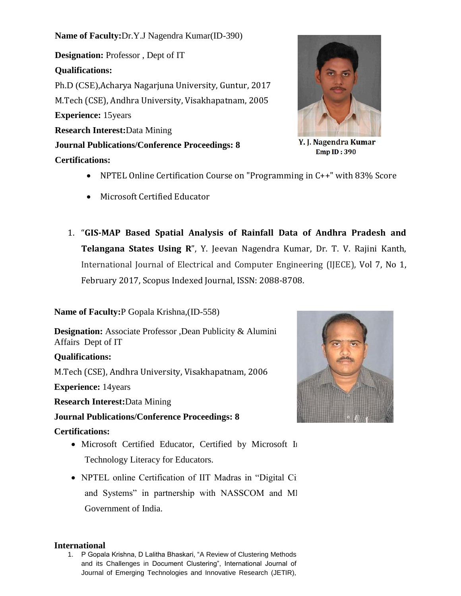**Name of Faculty:**Dr.Y.J Nagendra Kumar(ID-390)

**Designation:** Professor , Dept of IT **Qualifications:** Ph.D (CSE),Acharya Nagarjuna University, Guntur, 2017 M.Tech (CSE), Andhra University, Visakhapatnam, 2005 **Experience:** 15years **Research Interest:**Data Mining **Journal Publications/Conference Proceedings: 8 Certifications:**



Y. J. Nagendra Kumar **Emp ID: 390** 

- NPTEL Online Certification Course on "Programming in C++" with 83% Score
- Microsoft Certified Educator
- 1. "**GIS-MAP Based Spatial Analysis of Rainfall Data of Andhra Pradesh and Telangana States Using R**", Y. Jeevan Nagendra Kumar, Dr. T. V. Rajini Kanth, International Journal of Electrical and Computer Engineering (IJECE), Vol 7, No 1, February 2017, Scopus Indexed Journal, ISSN: 2088-8708.

**Name of Faculty:**P Gopala Krishna,(ID-558)

**Designation:** Associate Professor ,Dean Publicity & Alumini Affairs Dept of IT

## **Qualifications:**

M.Tech (CSE), Andhra University, Visakhapatnam, 2006

**Experience:** 14years

**Research Interest:**Data Mining

**Journal Publications/Conference Proceedings: 8**

## **Certifications:**

- Microsoft Certified Educator, Certified by Microsoft In Technology Literacy for Educators.
- NPTEL online Certification of IIT Madras in "Digital Circuits" and Systems" in partnership with NASSCOM and MI Government of India.



## **International**

1. P Gopala Krishna, D Lalitha Bhaskari, "A Review of Clustering Methods and its Challenges in Document Clustering", International Journal of Journal of Emerging Technologies and Innovative Research (JETIR),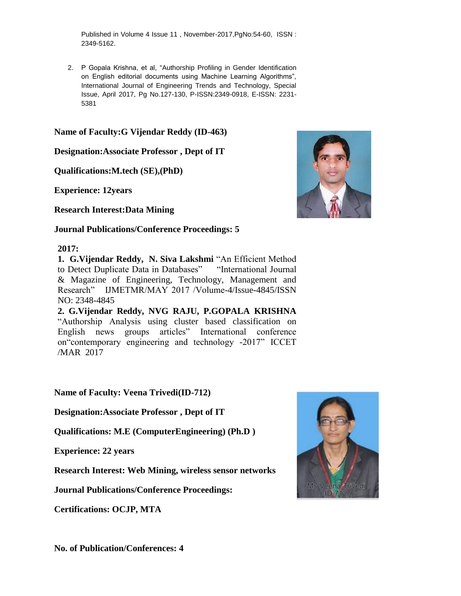Published in Volume 4 Issue 11 , November-2017,PgNo:54-60, ISSN : 2349-5162.

2. P Gopala Krishna, et al, "Authorship Profiling in Gender Identification on English editorial documents using Machine Learning Algorithms", International Journal of Engineering Trends and Technology, Special Issue, April 2017, Pg No.127-130, P-ISSN:2349-0918, E-ISSN: 2231- 5381

## **Name of Faculty:G Vijendar Reddy (ID-463)**

**Designation:Associate Professor , Dept of IT**

**Qualifications:M.tech (SE),(PhD)**

**Experience: 12years**

**Research Interest:Data Mining**

## **Journal Publications/Conference Proceedings: 5**

## **2017:**

**1. G.Vijendar Reddy, N. Siva Lakshmi** "An Efficient Method to Detect Duplicate Data in Databases""International Journal & Magazine of Engineering, Technology, Management and Research" IJMETMR/MAY 2017 /Volume-4/Issue-4845/ISSN NO: 2348-4845

**2. G.Vijendar Reddy, NVG RAJU, P.GOPALA KRISHNA**  "Authorship Analysis using cluster based classification on English news groups articles" International conference on"contemporary engineering and technology -2017" ICCET /MAR 2017

**Name of Faculty: Veena Trivedi(ID-712)**

**Designation:Associate Professor , Dept of IT**

**Qualifications: M.E (ComputerEngineering) (Ph.D )** 

**Experience: 22 years** 

**Research Interest: Web Mining, wireless sensor networks** 

**Journal Publications/Conference Proceedings:** 

**Certifications: OCJP, MTA**



**No. of Publication/Conferences: 4**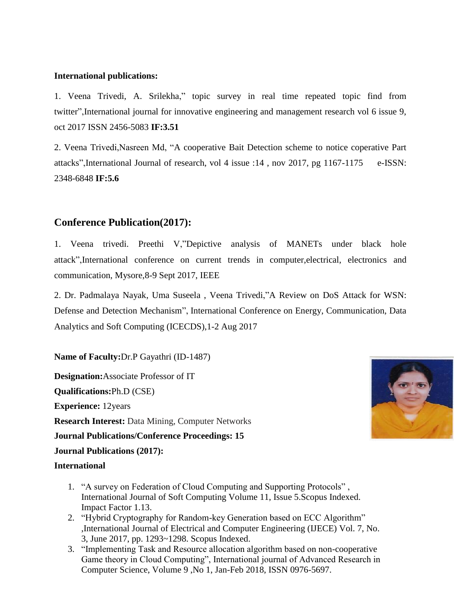## **International publications:**

1. Veena Trivedi, A. Srilekha," topic survey in real time repeated topic find from twitter",International journal for innovative engineering and management research vol 6 issue 9, oct 2017 ISSN 2456-5083 **IF:3.51**

2. Veena Trivedi,Nasreen Md, "A cooperative Bait Detection scheme to notice coperative Part attacks",International Journal of research, vol 4 issue :14 , nov 2017, pg 1167-1175 e-ISSN: 2348-6848 **IF:5.6**

# **Conference Publication(2017):**

1. Veena trivedi. Preethi V,"Depictive analysis of MANETs under black hole attack",International conference on current trends in computer,electrical, electronics and communication, Mysore,8-9 Sept 2017, IEEE

2. Dr. Padmalaya Nayak, Uma Suseela , Veena Trivedi,"A Review on DoS Attack for WSN: Defense and Detection Mechanism", International Conference on Energy, Communication, Data Analytics and Soft Computing (ICECDS),1-2 Aug 2017

**Name of Faculty:**Dr.P Gayathri (ID-1487)

**Designation:**Associate Professor of IT **Qualifications:**Ph.D (CSE) **Experience:** 12years **Research Interest:** Data Mining, Computer Networks

**Journal Publications/Conference Proceedings: 15**

**Journal Publications (2017):**

### **International**

- 1. "A survey on Federation of Cloud Computing and Supporting Protocols" , International Journal of Soft Computing Volume 11, Issue 5.Scopus Indexed. Impact Factor 1.13.
- 2. "Hybrid Cryptography for Random-key Generation based on ECC Algorithm" ,International Journal of Electrical and Computer Engineering (IJECE) Vol. 7, No. 3, June 2017, pp. 1293~1298. Scopus Indexed.
- 3. "Implementing Task and Resource allocation algorithm based on non-cooperative Game theory in Cloud Computing", International journal of Advanced Research in Computer Science, Volume 9 ,No 1, Jan-Feb 2018, ISSN 0976-5697.

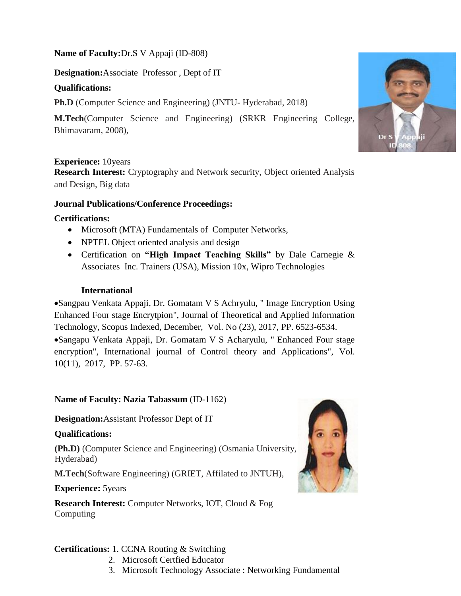**Name of Faculty:**Dr.S V Appaji (ID-808)

**Designation:**Associate Professor , Dept of IT

# **Qualifications:**

**Ph.D** (Computer Science and Engineering) (JNTU- Hyderabad, 2018)

**M.Tech**(Computer Science and Engineering) (SRKR Engineering College, Bhimavaram, 2008),

## **Experience:** 10years

**Research Interest:** Cryptography and Network security, Object oriented Analysis and Design, Big data

## **Journal Publications/Conference Proceedings:**

## **Certifications:**

- Microsoft (MTA) Fundamentals of Computer Networks,
- NPTEL Object oriented analysis and design
- Certification on **"High Impact Teaching Skills"** by Dale Carnegie & Associates Inc. Trainers (USA), Mission 10x, Wipro Technologies

# **International**

•Sangpau Venkata Appaji, Dr. Gomatam V S Achryulu, " Image Encryption Using Enhanced Four stage Encrytpion", Journal of Theoretical and Applied Information Technology, Scopus Indexed, December, Vol. No (23), 2017, PP. 6523-6534. •Sangapu Venkata Appaji, Dr. Gomatam V S Acharyulu, " Enhanced Four stage encryption", International journal of Control theory and Applications", Vol. 10(11), 2017, PP. 57-63.

# **Name of Faculty: Nazia Tabassum** (ID-1162)

**Designation:**Assistant Professor Dept of IT

## **Qualifications:**

**(Ph.D)** (Computer Science and Engineering) (Osmania University, Hyderabad)

**M.Tech**(Software Engineering) (GRIET, Affilated to JNTUH),

## **Experience:** 5years

**Research Interest:** Computer Networks, IOT, Cloud & Fog Computing

## **Certifications:** 1. CCNA Routing & Switching

- 2. Microsoft Certfied Educator
- 3. Microsoft Technology Associate : Networking Fundamental